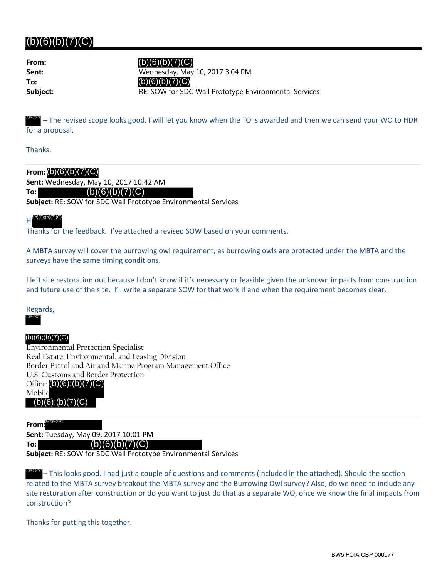# $(b)(6)(b)(7)(C)$

**From: To:**

 $(b)(6)(b)(7)(C)$ 

**Sent:** Wednesday, May 10, 2017 3:04 PM **Subject: RE: SOW for SDC Wall Prototype Environmental Services** (b)(6)(b)(7)(C)

– The revised scope looks good. I will let you know when the TO is awarded and then we can send your WO to HDR for a proposal. (b)(6)(b)(7)(

Thanks.

**To:**

### **From:** (b)(6)(b)(7)(C)

**Sent:** Wednesday, May 10, 2017 10:42 AM

### $(b)(6)(b)(7)(C)$

**Subject:** RE: SOW for SDC Wall Prototype Environmental Services

#### Hi (b)(6)(b)(7)(C) (b)(6);(b)(7)(C)

Thanks for the feedback. I've attached a revised SOW based on your comments.

A MBTA survey will cover the burrowing owl requirement, as burrowing owls are protected under the MBTA and the surveys have the same timing conditions.

I left site restoration out because I don't know if it's necessary or feasible given the unknown impacts from construction and future use of the site. I'll write a separate SOW for that work if and when the requirement becomes clear.

Regards,

Environmental Protection Specialist Real Estate, Environmental, and Leasing Division Border Patrol and Air and Marine Program Management Office U.S. Customs and Border Protection Office: (b)(6);(b)(7)(C) Mobile (b)(6);(b)(7)(C)<br>
Environment<br>
Real Estate, I<br>
Border Patrol<br>
U.S. Customs<br>
Office: (b)(6)<br>
Mobile<br>
(b)(6);(b)(<br>
From: Subject: RE: 9<br>
Subject: RE: 9<br>
Subject: RE: 9  $(b)(6)$ ; $(b)(7)(C)$ 

**From:** (b)(6)(b)(7)(C)

**To:**

**Sent:** Tuesday, May 09, 2017 10:01 PM

 $(b)(6)(b)(7)(C)$ 

**Subject:** RE: SOW for SDC Wall Prototype Environmental Services

– This looks good. I had just a couple of questions and comments (included in the attached). Should the section related to the MBTA survey breakout the MBTA survey and the Burrowing Owl survey? Also, do we need to include any site restoration after construction or do you want to just do that as a separate WO, once we know the final impacts from construction?

Thanks for putting this together.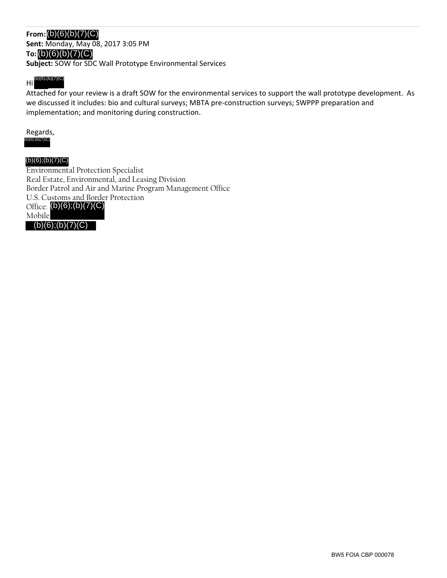# **From:** (b)(6)(b)(7)(C)

**Sent:** Monday, May 08, 2017 3:05 PM **To:** (b)(6)(b)(7)(C) **Subject:** SOW for SDC Wall Prototype Environmental Services

#### Hi (b)(6)(b)(7)(C) (b)(6);(b)(7)(C)

Attached for your review is a draft SOW for the environmental services to support the wall prototype development. As we discussed it includes: bio and cultural surveys; MBTA pre‐construction surveys; SWPPP preparation and implementation; and monitoring during construction.

#### Regards, (b)(6);(b)(7)(C)

### (b)(6);(b)(7)(C)

Environmental Protection Specialist Real Estate, Environmental, and Leasing Division Border Patrol and Air and Marine Program Management Office U.S. Customs and Border Protection Office: (b)(6);(b)(7)(C) Mobile (b)(6);(b)(7)(C)